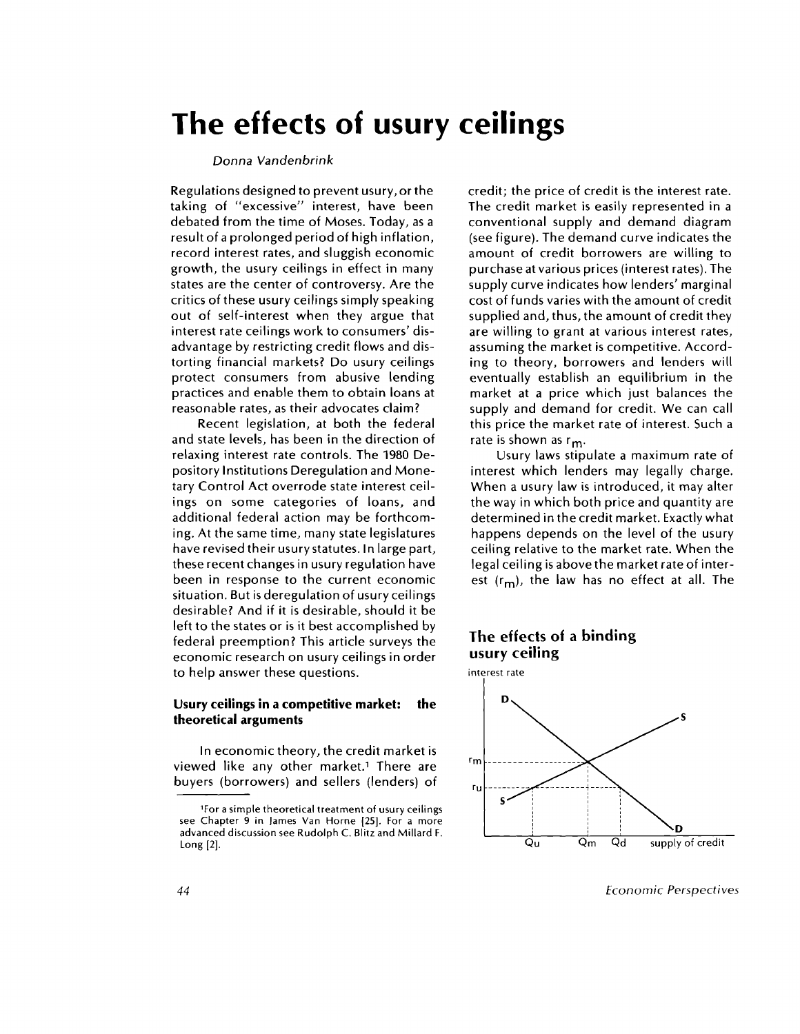# **The effects of usury ceilings**

#### *Donna Vandenbrink*

Regulations designed to prevent usury, or the taking of "excessive" interest, have been debated from the time of Moses. Today, as a result of a prolonged period of high inflation, record interest rates, and sluggish economic growth, the usury ceilings in effect in many states are the center of controversy. Are the critics of these usury ceilings simply speaking out of self-interest when they argue that interest rate ceilings work to consumers' disadvantage by restricting credit flows and distorting financial markets? Do usury ceilings protect consumers from abusive lending practices and enable them to obtain loans at reasonable rates, as their advocates claim?

Recent legislation, at both the federal and state levels, has been in the direction of relaxing interest rate controls. The 1980 Depository Institutions Deregulation and Monetary Control Act overrode state interest ceilings on some categories of loans, and additional federal action may be forthcoming. At the same time, many state legislatures have revised their usury statutes. In large part, these recent changes in usury regulation have been in response to the current economic situation. But is deregulation of usury ceilings desirable? And if it is desirable, should it be left to the states or is it best accomplished by federal preemption? This article surveys the economic research on usury ceilings in order to help answer these questions.

#### **Usury ceilings in a competitive market: the theoretical arguments**

In economic theory, the credit market is viewed like any other market.<sup>1</sup> There are buyers (borrowers) and sellers (lenders) of credit; the price of credit is the interest rate. The credit market is easily represented in a conventional supply and demand diagram (see figure). The demand curve indicates the amount of credit borrowers are willing to purchase at various prices (interest rates). The supply curve indicates how lenders' marginal cost of funds varies with the amount of credit supplied and, thus, the amount of credit they are willing to grant at various interest rates, assuming the market is competitive. According to theory, borrowers and lenders will eventually establish an equilibrium in the market at a price which just balances the supply and demand for credit. We can call this price the market rate of interest. Such a rate is shown as  $r_m$ .

Usury laws stipulate a maximum rate of interest which lenders may legally charge. When a usury law is introduced, it may alter the way in which both price and quantity are determined in the credit market. Exactly what happens depends on the level of the usury ceiling relative to the market rate. When the legal ceiling is above the market rate of interest  $(r_m)$ , the law has no effect at all. The

## **The effects of a binding usury ceiling**



*44 Economic Perspectives*

<sup>&#</sup>x27;For a simple theoretical treatment of usury ceilings see Chapter 9 in James Van Horne [25]. For a more advanced discussion see Rudolph C. Blitz and Millard F. Long [2].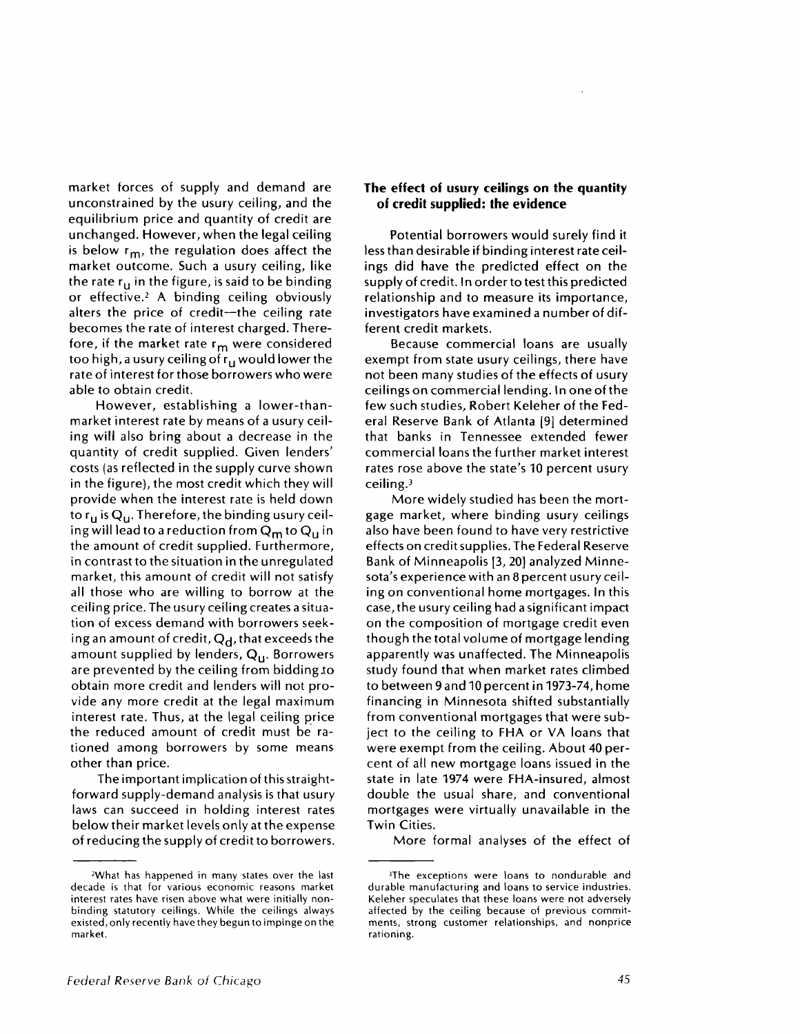market forces of supply and demand are unconstrained by the usury ceiling, and the equilibrium price and quantity of credit are unchanged. However, when the legal ceiling is below  $r_m$ , the regulation does affect the market outcome. Such a usury ceiling, like the rate  $r_{11}$  in the figure, is said to be binding or effective.<sup>2</sup> A binding ceiling obviously alters the price of credit—the ceiling rate becomes the rate of interest charged. Therefore, if the market rate r<sub>m</sub> were considered too high, a usury ceiling of r<sub>u</sub> would lower the rate of interest for those borrowers who were able to obtain credit.

However, establishing a lower-thanmarket interest rate by means of a usury ceiling will also bring about a decrease in the quantity of credit supplied. Given lenders' costs (as reflected in the supply curve shown in the figure), the most credit which they will provide when the interest rate is held down to  $r_u$  is  $Q_u$ . Therefore, the binding usury ceiling will lead to a reduction from  $Q_m$  to  $Q_u$  in the amount of credit supplied. Furthermore, in contrast to the situation in the unregulated market, this amount of credit will not satisfy all those who are willing to borrow at the ceiling price. The usury ceiling creates a situation of excess demand with borrowers seeking an amount of credit,  $Q_d$ , that exceeds the amount supplied by lenders,  $Q_{11}$ . Borrowers are prevented by the ceiling from bidding to obtain more credit and lenders will not provide any more credit at the legal maximum interest rate. Thus, at the legal ceiling price the reduced amount of credit must be rationed among borrowers by some means other than price.

The important implication of this straightforward supply-demand analysis is that usury laws can succeed in holding interest rates below their market levels only at the expense of reducing the supply of credit to borrowers.

### **The effect of usury ceilings on the quantity of credit supplied: the evidence**

Potential borrowers would surely find it less than desirable if binding interest rate ceilings did have the predicted effect on the supply of credit. In order to test this predicted relationship and to measure its importance, investigators have examined a number of different credit markets.

Because commercial loans are usually exempt from state usury ceilings, there have not been many studies of the effects of usury ceilings on commercial lending. In one of the few such studies, Robert Keleher of the Federal Reserve Bank of Atlanta [9] determined that banks in Tennessee extended fewer commercial loans the further market interest rates rose above the state's 10 percent usury ceiling. <sup>3</sup>

More widely studied has been the mortgage market, where binding usury ceilings also have been found to have very restrictive effects on credit supplies. The Federal Reserve Bank of Minneapolis [3, 20] analyzed Minnesota's experience with an 8 percent usury ceiling on conventional home mortgages. In this case, the usury ceiling had a significant impact on the composition of mortgage credit even though the total volume of mortgage lending apparently was unaffected. The Minneapolis study found that when market rates climbed to between 9 and 10 percent in 1973-74, home financing in Minnesota shifted substantially from conventional mortgages that were subject to the ceiling to FHA or VA loans that were exempt from the ceiling. About 40 percent of all new mortgage loans issued in the state in late 1974 were FHA-insured, almost double the usual share, and conventional mortgages were virtually unavailable in the Twin Cities.

More formal analyses of the effect of

<sup>2</sup>What has happened in many states over the last decade is that for various economic reasons market interest rates have risen above what were initially nonbinding statutory ceilings. While the ceilings always existed, only recently have they begun to impinge on the market.

<sup>&</sup>lt;sup>3</sup>The exceptions were loans to nondurable and durable manufacturing and loans to service industries. Keleher speculates that these loans were not adversely affected by the ceiling because of previous commitments, strong customer relationships, and nonprice rationing.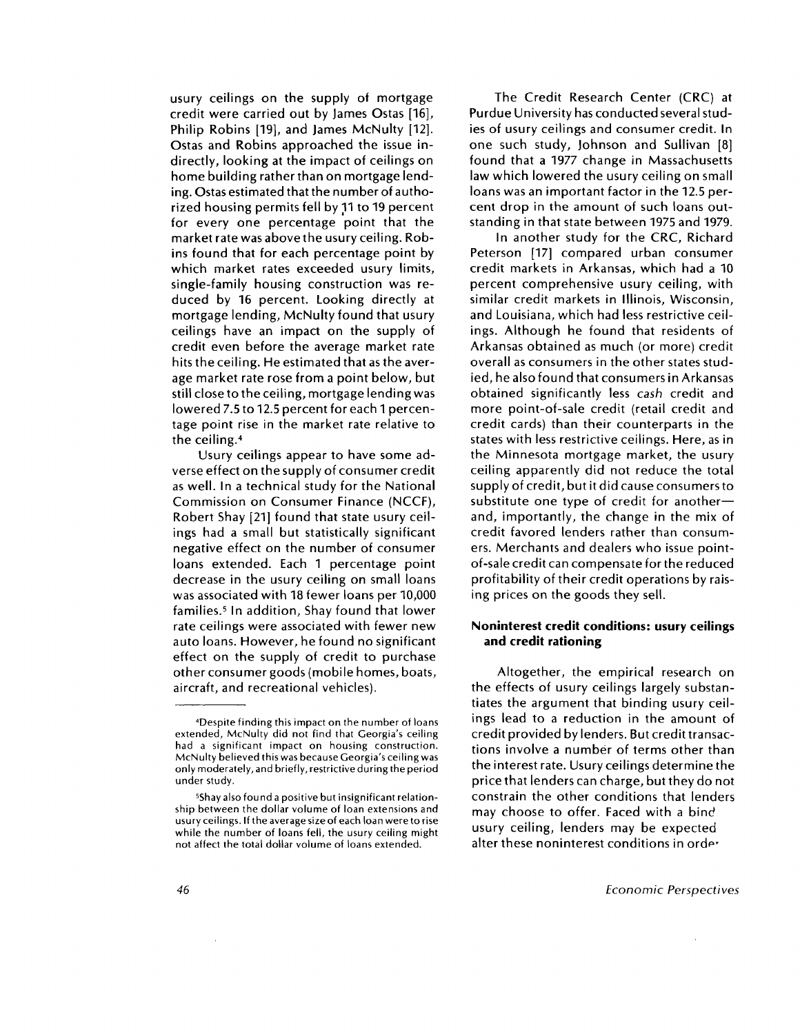usury ceilings on the supply of mortgage credit were carried out by James Ostas [16], Philip Robins [19], and James McNulty [12]. Ostas and Robins approached the issue indirectly, looking at the impact of ceilings on home building rather than on mortgage lending. Ostas estimated that the number of authorized housing permits fell by 11 to 19 percent for every one percentage point that the market rate was above the usury ceiling. Robins found that for each percentage point by which market rates exceeded usury limits, single-family housing construction was reduced by 16 percent. Looking directly at mortgage lending, McNulty found that usury ceilings have an impact on the supply of credit even before the average market rate hits the ceiling. He estimated that as the average market rate rose from a point below, but still close to the ceiling, mortgage lending was lowered 7.5 to 12.5 percent for each 1 percentage point rise in the market rate relative to the ceiling. <sup>4</sup>

Usury ceilings appear to have some adverse effect on the supply of consumer credit as well. In a technical study for the National Commission on Consumer Finance (NCCF), Robert Shay [21] found that state usury ceilings had a small but statistically significant negative effect on the number of consumer loans extended. Each 1 percentage point decrease in the usury ceiling on small loans was associated with 18 fewer loans per 10,000 families.<sup>5</sup> In addition, Shay found that lower rate ceilings were associated with fewer new auto loans. However, he found no significant effect on the supply of credit to purchase other consumer goods (mobile homes, boats, aircraft, and recreational vehicles).

The Credit Research Center (CRC) at Purdue University has conducted several studies of usury ceilings and consumer credit. In one such study, Johnson and Sullivan [8] found that a 1977 change in Massachusetts law which lowered the usury ceiling on small loans was an important factor in the 12.5 percent drop in the amount of such loans outstanding in that state between 1975 and 1979.

In another study for the CRC, Richard Peterson [17] compared urban consumer credit markets in Arkansas, which had a 10 percent comprehensive usury ceiling, with similar credit markets in Illinois, Wisconsin, and Louisiana, which had less restrictive ceilings. Although he found that residents of Arkansas obtained as much (or more) credit overall as consumers in the other states studied, he also found that consumers in Arkansas obtained significantly less *cash* credit and more point-of-sale credit (retail credit and credit cards) than their counterparts in the states with less restrictive ceilings. Here, as in the Minnesota mortgage market, the usury ceiling apparently did not reduce the total supply of credit, but it did cause consumers to substitute one type of credit for another and, importantly, the change in the mix of credit favored lenders rather than consumers. Merchants and dealers who issue pointof-sale credit can compensate for the reduced profitability of their credit operations by raising prices on the goods they sell.

### **Noninterest credit conditions: usury ceilings and credit rationing**

Altogether, the empirical research on the effects of usury ceilings largely substantiates the argument that binding usury ceilings lead to a reduction in the amount of credit provided by lenders. But credit transactions involve a number of terms other than the interest rate. Usury ceilings determine the price that lenders can charge, but they do not constrain the other conditions that lenders may choose to offer. Faced with a bind usury ceiling, lenders may be expected alter these noninterest conditions in order

<sup>&#</sup>x27;Despite finding this impact on the number of loans extended, McNulty did not find that Georgia's ceiling had a significant impact on housing construction. McNulty believed this was because Georgia's ceiling was only moderately, and briefly, restrictive during the period under study.

<sup>&</sup>lt;sup>5</sup>Shay also found a positive but insignificant relationship between the dollar volume of loan extensions and usury ceilings. If the average size of each loan were to rise while the number of loans fell, the usury ceiling might not affect the total dollar volume of loans extended.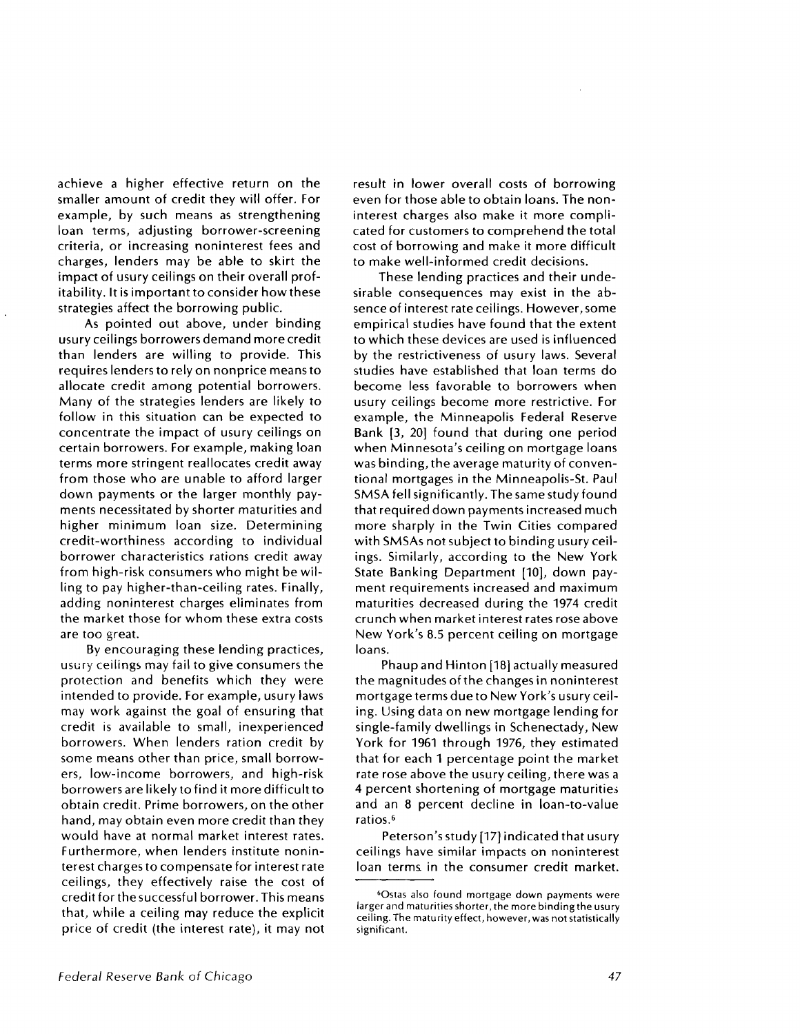achieve a higher effective return on the smaller amount of credit they will offer. For example, by such means as strengthening loan terms, adjusting borrower-screening criteria, or increasing noninterest fees and charges, lenders may be able to skirt the impact of usury ceilings on their overall profitability. It is important to consider how these strategies affect the borrowing public.

As pointed out above, under binding usury ceilings borrowers demand more credit than lenders are willing to provide. This requires lenders to rely on nonprice means to allocate credit among potential borrowers. Many of the strategies lenders are likely to follow in this situation can be expected to concentrate the impact of usury ceilings on certain borrowers. For example, making loan terms more stringent reallocates credit away from those who are unable to afford larger down payments or the larger monthly payments necessitated by shorter maturities and higher minimum loan size. Determining credit-worthiness according to individual borrower characteristics rations credit away from high-risk consumers who might be willing to pay higher-than-ceiling rates. Finally, adding noninterest charges eliminates from the market those for whom these extra costs are too great.

By encouraging these lending practices, usury ceilings may fail to give consumers the protection and benefits which they were intended to provide. For example, usury laws may work against the goal of ensuring that credit is available to small, inexperienced borrowers. When lenders ration credit by some means other than price, small borrowers, low-income borrowers, and high-risk borrowers are likely to find it more difficult to obtain credit. Prime borrowers, on the other hand, may obtain even more credit than they would have at normal market interest rates. Furthermore, when lenders institute noninterest charges to compensate for interest rate ceilings, they effectively raise the cost of credit for the successful borrower. This means that, while a ceiling may reduce the explicit price of credit (the interest rate), it may not result in lower overall costs of borrowing even for those able to obtain loans. The noninterest charges also make it more complicated for customers to comprehend the total cost of borrowing and make it more difficult to make well-informed credit decisions.

These lending practices and their undesirable consequences may exist in the absence of interest rate ceilings. However, some empirical studies have found that the extent to which these devices are used is influenced by the restrictiveness of usury laws. Several studies have established that loan terms do become less favorable to borrowers when usury ceilings become more restrictive. For example, the Minneapolis Federal Reserve Bank [3, 20] found that during one period when Minnesota's ceiling on mortgage loans was binding, the average maturity of conventional mortgages in the Minneapolis-St. Paul SMSA fell significantly. The same study found that required down payments increased much more sharply in the Twin Cities compared with SMSAs not subject to binding usury ceilings. Similarly, according to the New York State Banking Department [10], down payment requirements increased and maximum maturities decreased during the 1974 credit crunch when market interest rates rose above New York's 8.5 percent ceiling on mortgage loans.

Phaup and Hinton [18] actually measured the magnitudes of the changes in noninterest mortgage terms due to New York's usury ceiling. Using data on new mortgage lending for single-family dwellings in Schenectady, New York for 1961 through 1976, they estimated that for each 1 percentage point the market rate rose above the usury ceiling, there was a 4 percent shortening of mortgage maturities and an 8 percent decline in loan-to-value ratios.<sup>6</sup>

Peterson's study [17] indicated that usury ceilings have similar impacts on noninterest loan terms in the consumer credit market.

<sup>6</sup> Ostas also found mortgage down payments were larger and maturities shorter, the more binding the usury ceiling. The maturity effect, however, was not statistically significant.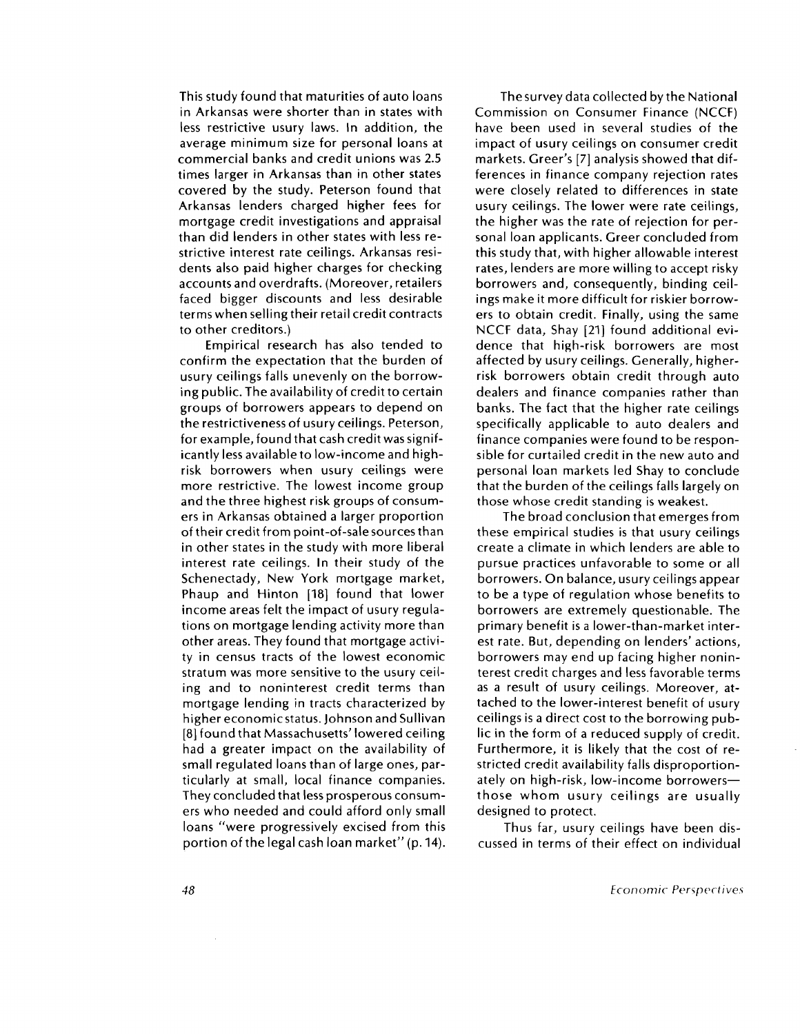This study found that maturities of auto loans in Arkansas were shorter than in states with less restrictive usury laws. In addition, the average minimum size for personal loans at commercial banks and credit unions was 2.5 times larger in Arkansas than in other states covered by the study. Peterson found that Arkansas lenders charged higher fees for mortgage credit investigations and appraisal than did lenders in other states with less restrictive interest rate ceilings. Arkansas residents also paid higher charges for checking accounts and overdrafts. (Moreover, retailers faced bigger discounts and less desirable terms when selling their retail credit contracts to other creditors.)

Empirical research has also tended to confirm the expectation that the burden of usury ceilings falls unevenly on the borrowing public. The availability of credit to certain groups of borrowers appears to depend on the restrictiveness of usury ceilings. Peterson, for example, found that cash credit was significantly less available to low-income and highrisk borrowers when usury ceilings were more restrictive. The lowest income group and the three highest risk groups of consumers in Arkansas obtained a larger proportion of their credit from point-of-sale sources than in other states in the study with more liberal interest rate ceilings. In their study of the Schenectady, New York mortgage market, Phaup and Hinton [18] found that lower income areas felt the impact of usury regulations on mortgage lending activity more than other areas. They found that mortgage activity in census tracts of the lowest economic stratum was more sensitive to the usury ceiling and to noninterest credit terms than mortgage lending in tracts characterized by higher economic status. Johnson and Sullivan [8] found that Massachusetts' lowered ceiling had a greater impact on the availability of small regulated loans than of large ones, particularly at small, local finance companies. They concluded that less prosperous consumers who needed and could afford only small loans "were progressively excised from this portion of the legal cash loan market" (p. 14).

The survey data collected by the National Commission on Consumer Finance (NCCF) have been used in several studies of the impact of usury ceilings on consumer credit markets. Greer's [7] analysis showed that differences in finance company rejection rates were closely related to differences in state usury ceilings. The lower were rate ceilings, the higher was the rate of rejection for personal loan applicants. Greer concluded from this study that, with higher allowable interest rates, lenders are more willing to accept risky borrowers and, consequently, binding ceilings make it more difficult for riskier borrowers to obtain credit. Finally, using the same NCCF data, Shay [21] found additional evidence that high-risk borrowers are most affected by usury ceilings. Generally, higherrisk borrowers obtain credit through auto dealers and finance companies rather than banks. The fact that the higher rate ceilings specifically applicable to auto dealers and finance companies were found to be responsible for curtailed credit in the new auto and personal loan markets led Shay to conclude that the burden of the ceilings falls largely on those whose credit standing is weakest.

The broad conclusion that emerges from these empirical studies is that usury ceilings create a climate in which lenders are able to pursue practices unfavorable to some or all borrowers. On balance, usury ceilings appear to be a type of regulation whose benefits to borrowers are extremely questionable. The primary benefit is a lower-than-market interest rate. But, depending on lenders' actions, borrowers may end up facing higher noninterest credit charges and less favorable terms as a result of usury ceilings. Moreover, attached to the lower-interest benefit of usury ceilings is a direct cost to the borrowing public in the form of a reduced supply of credit. Furthermore, it is likely that the cost of restricted credit availability falls disproportionately on high-risk, low-income borrowers those whom usury ceilings are usually designed to protect.

Thus far, usury ceilings have been discussed in terms of their effect on individual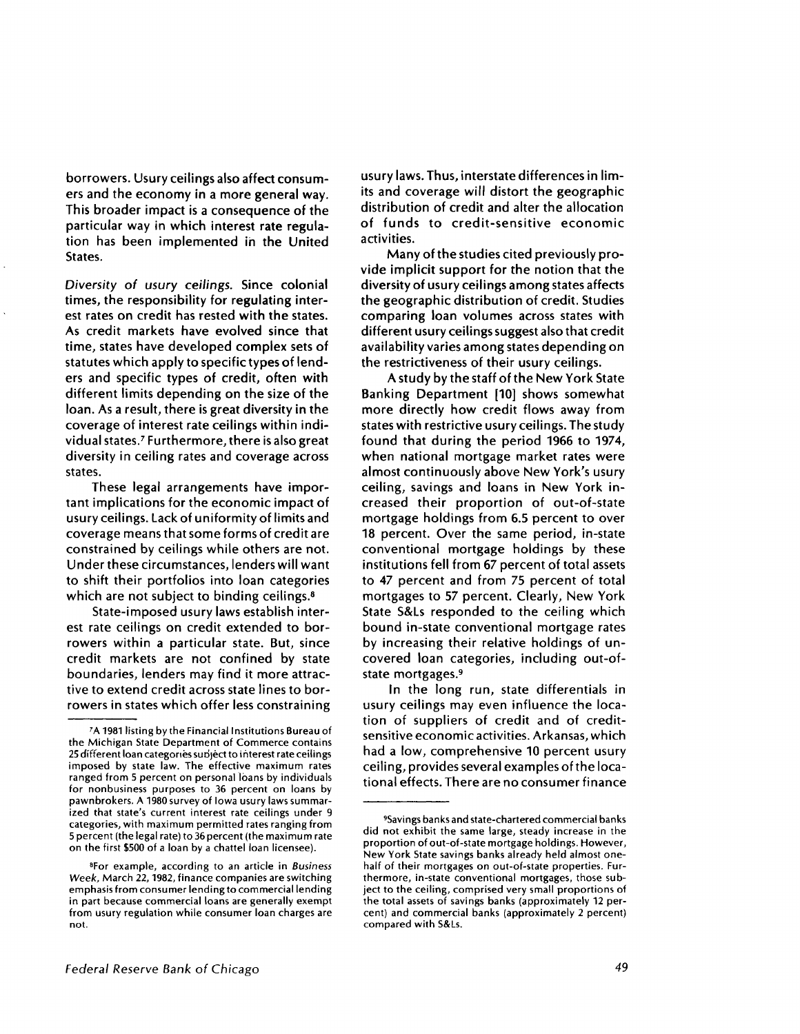borrowers. Usury ceilings also affect consumers and the economy in a more general way. This broader impact is a consequence of the particular way in which interest rate regulation has been implemented in the United States.

*Diversity of usury ceilings.* Since colonial times, the responsibility for regulating interest rates on credit has rested with the states. As credit markets have evolved since that time, states have developed complex sets of statutes which apply to specific types of lenders and specific types of credit, often with different limits depending on the size of the loan. As a result, there is great diversity in the coverage of interest rate ceilings within individual states.' Furthermore, there is also great diversity in ceiling rates and coverage across states.

These legal arrangements have important implications for the economic impact of usury ceilings. Lack of uniformity of limits and coverage means that some forms of credit are constrained by ceilings while others are not. Under these circumstances, lenders will want to shift their portfolios into loan categories which are not subject to binding ceilings.<sup>8</sup>

State-imposed usury laws establish interest rate ceilings on credit extended to borrowers within a particular state. But, since credit markets are not confined by state boundaries, lenders may find it more attractive to extend credit across state lines to borrowers in states which offer less constraining usury laws. Thus, interstate differences in limits and coverage will distort the geographic distribution of credit and alter the allocation of funds to credit-sensitive economic activities.

Many of the studies cited previously provide implicit support for the notion that the diversity of usury ceilings among states affects the geographic distribution of credit. Studies comparing loan volumes across states with different usury ceilings suggest also that credit availability varies among states depending on the restrictiveness of their usury ceilings.

A study by the staff of the New York State Banking Department [10] shows somewhat more directly how credit flows away from states with restrictive usury ceilings. The study found that during the period 1966 to 1974, when national mortgage market rates were almost continuously above New York's usury ceiling, savings and loans in New York increased their proportion of out-of-state mortgage holdings from 6.5 percent to over 18 percent. Over the same period, in-state conventional mortgage holdings by these institutions fell from **67** percent of total assets to 47 percent and from 75 percent of total mortgages to **57** percent. Clearly, New York State S&Ls responded to the ceiling which bound in-state conventional mortgage rates by increasing their relative holdings of uncovered loan categories, including out-ofstate mortgages. <sup>9</sup>

In the long run, state differentials in usury ceilings may even influence the location of suppliers of credit and of creditsensitive economic activities. **Arkansas,** which had a low, comprehensive 10 percent usury ceiling, provides several examples of the locational effects. There are no consumer finance

<sup>7</sup>A 1981 listing by the Financial Institutions Bureau of the Michigan State Department of Commerce contains 25 different loan categories subject to interest rate ceilings imposed by state law. The effective maximum rates ranged from 5 percent on personal loans by individuals for nonbusiness purposes to 36 percent on loans by pawnbrokers. A 1980 survey of Iowa usury laws summarized that state's current interest rate ceilings under 9 categories, with maximum permitted rates ranging from 5 percent (the legal rate) to 36 percent (the maximum rate on the first \$500 of a loan by a chattel loan licensee).

<sup>8</sup> For example, according to an article in *Business Week,* March 22, 1982, finance companies are switching emphasis from consumer lending to commercial lending in part because commercial loans are generally exempt from usury regulation while consumer loan charges are not.

<sup>9</sup>Savings banks and state-chartered commercial banks did not exhibit the same large, steady increase in the proportion of out-of-state mortgage holdings. However, New York State savings banks already held almost onehalf of their mortgages on out-of-state properties. Furthermore, in-state conventional mortgages, those subject to the ceiling, comprised very small proportions of the total assets of savings banks (approximately 12 percent) and commercial banks (approximately 2 percent) compared with S&Ls.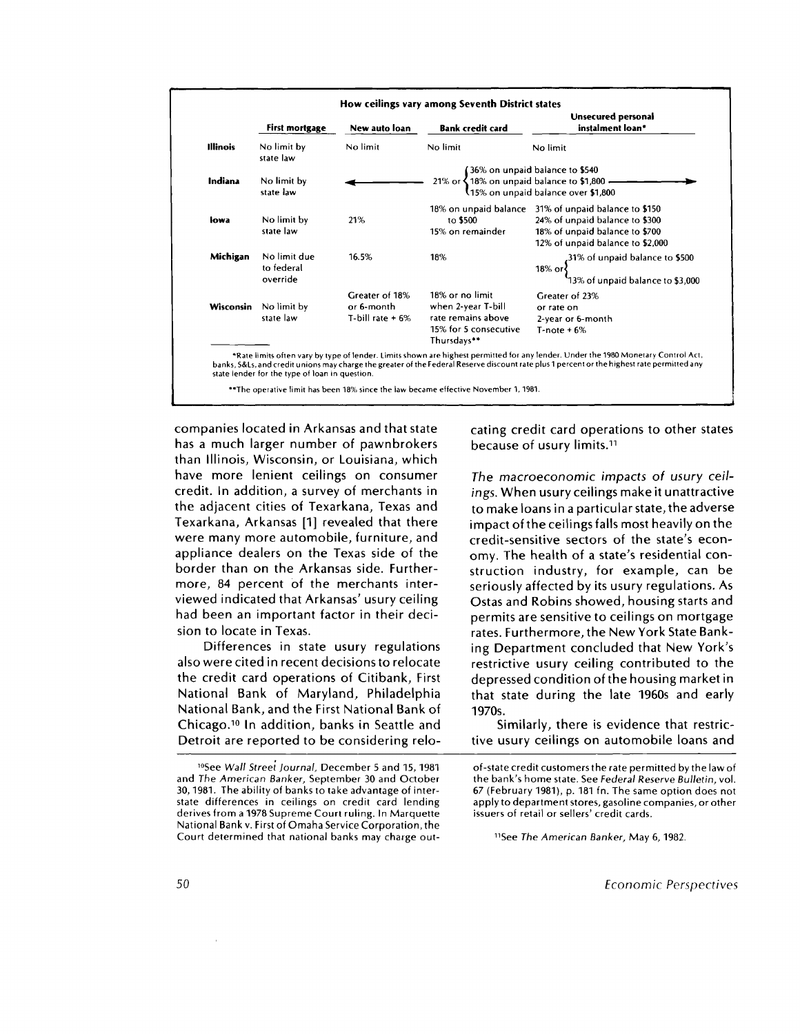|                 | <b>First mortgage</b>                  | New auto loan                                      | <b>Bank credit card</b>                                                                                                                                                                | Unsecured personal<br>instalment loan*                                                                                                                       |
|-----------------|----------------------------------------|----------------------------------------------------|----------------------------------------------------------------------------------------------------------------------------------------------------------------------------------------|--------------------------------------------------------------------------------------------------------------------------------------------------------------|
| <b>Illinois</b> | No limit by<br>state law               | No limit                                           | No limit                                                                                                                                                                               | No limit                                                                                                                                                     |
| Indiana         | No limit by<br>state law               |                                                    | 21% or $\begin{cases} 36\%$ on unpaid balance to \$540<br>21% or $\begin{cases} 18\%$ on unpaid balance to \$1,800 $\longrightarrow \end{cases}$<br>15% on unpaid balance over \$1,800 |                                                                                                                                                              |
| lowa            | No limit by<br>state law               | 21%                                                | to \$500<br>15% on remainder                                                                                                                                                           | 18% on unpaid balance 31% of unpaid balance to \$150<br>24% of unpaid balance to \$300<br>18% of unpaid balance to \$700<br>12% of unpaid balance to \$2,000 |
| Michigan        | No limit due<br>to federal<br>override | 16.5%                                              | 18%                                                                                                                                                                                    | 18% or $\begin{cases} 31\% \text{ of unpaid balance to } $500 \\ 13\% \text{ of unpaid balance to } $3,000 \end{cases}$                                      |
| Wisconsin       | No limit by<br>state law               | Greater of 18%<br>or 6-month<br>T-bill rate $+6\%$ | 18% or no limit<br>when 2-year T-bill<br>rate remains above<br>15% for 5 consecutive<br>Thursdays**                                                                                    | Greater of 23%<br>or rate on<br>2-year or 6-month<br>$T$ -note + 6%                                                                                          |

\*\* The operative limit has been 18% since the law became effective November 1, 1981.

companies located in Arkansas and that state has a much larger number of pawnbrokers than Illinois, Wisconsin, or Louisiana, which have more lenient ceilings on consumer credit. In addition, a survey of merchants in the adjacent cities of Texarkana, Texas and Texarkana, Arkansas [1] revealed that there were many more automobile, furniture, and appliance dealers on the Texas side of the border than on the Arkansas side. Furthermore, 84 percent of the merchants interviewed indicated that Arkansas' usury ceiling had been an important factor in their decision to locate in Texas.

Differences in state usury regulations also were cited in recent decisions to relocate the credit card operations of Citibank, First National Bank of Maryland, Philadelphia National Bank, and the First National Bank of Chicago.<sup>10</sup> In addition, banks in Seattle and Detroit are reported to be considering relocating credit card operations to other states because of usury limits. <sup>11</sup>

*The macroeconomic impacts of usury ceilings.* When usury ceilings make it unattractive to make loans in a particular state, the adverse impact of the ceilings falls most heavily on the credit-sensitive sectors of the state's economy. The health of a state's residential construction industry, for example, can be seriously affected by its usury regulations. As Ostas and Robins showed, housing starts and permits are sensitive to ceilings on mortgage rates. Furthermore, the New York State Banking Department concluded that New York's restrictive usury ceiling contributed to the depressed condition of the housing market in that state during the late 1960s and early 1970s.

Similarly, there is evidence that restrictive usury ceilings on automobile loans and

"See *The American Banker,* May 6, 1982.

<sup>10</sup>See Wall *Street Journal,* December 5 and 15, 1981 and The American *Banker,* September 30 and October 30, 1981. The ability of banks to take advantage of interstate differences in ceilings on credit card lending derives from a 1978 Supreme Court ruling. In Marquette National Bank v. First of Omaha Service Corporation, the Court determined that national banks may charge out-

of-state credit customers the rate permitted by the law of the bank's home state. See *Federal Reserve Bulletin,* vol. 67 (February 1981), p. 181 fn. The same option does not apply to department stores, gasoline companies, or other issuers of retail or sellers' credit cards.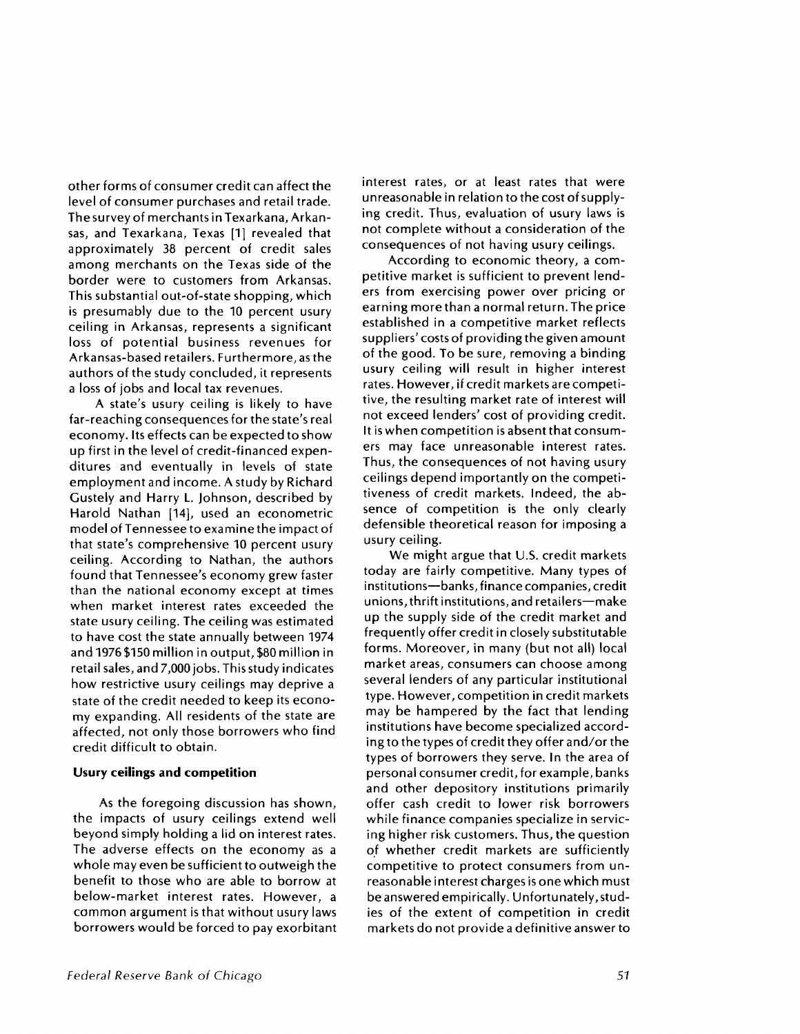other forms of consumer credit can affect the level of consumer purchases and retail trade. The survey of merchants in Texarkana, Arkansas, and Texarkana, Texas [1] revealed that approximately 38 percent of credit sales among merchants on the Texas side of the border were to customers from Arkansas. This substantial out-of-state shopping, which is presumably due to the 10 percent usury ceiling in Arkansas, represents a significant loss of potential business revenues for Arkansas-based retailers. Furthermore, as the authors of the study concluded, it represents a loss of jobs and local tax revenues.

A state's usury ceiling is likely to have far-reaching consequences for the state's real economy. Its effects can be expected to show up first in the level of credit-financed expenditures and eventually in levels of state employment and income. A study by Richard Gustely and Harry **L.** Johnson, described by Harold Nathan [14], used an econometric model of Tennessee to examine the impact of that state's comprehensive 10 percent usury ceiling. According to Nathan, the authors found that Tennessee's economy grew faster than the national economy except at times when market interest rates exceeded the state usury ceiling. The ceiling was estimated to have cost the state annually between 1974 and 1976 \$150 million in output, \$80 million in retail sales, and 7,000 jobs. This study indicates how restrictive usury ceilings may deprive a state of the credit needed to keep its economy expanding. All residents of the state are affected, not only those borrowers who find credit difficult to obtain.

#### **Usury ceilings and competition**

As the foregoing discussion has shown, the impacts of usury ceilings extend well beyond simply holding a lid on interest rates. The adverse effects on the economy as a whole may even be sufficient to outweigh the benefit to those who are able to borrow at below-market interest rates. However, a common argument is that without usury laws borrowers would be forced to pay exorbitant interest rates, or at least rates that were unreasonable in relation to the cost of supplying credit. Thus, evaluation of usury laws is not complete without a consideration of the consequences of not having usury ceilings.

According to economic theory, a competitive market is sufficient to prevent lenders from exercising power over pricing or earning more than a normal return. The price established in a competitive market reflects suppliers' costs of providing the given amount of the good. To be sure, removing a binding usury ceiling will result in higher interest rates. However, if credit markets are competitive, the resulting market rate of interest will not exceed lenders' cost of providing credit. It is when competition is absent that consumers may face unreasonable interest rates. Thus, the consequences of not having usury ceilings depend importantly on the competitiveness of credit markets. Indeed, the absence of competition is the only clearly defensible theoretical reason for imposing a usury ceiling.

We might argue that U.S. credit markets today are fairly competitive. Many types of institutions—banks, finance companies, credit unions, thrift institutions, and retailers—make up the supply side of the credit market and frequently offer credit in closely substitutable forms. Moreover, in many (but not all) local market areas, consumers can choose among several lenders of any particular institutional type. However, competition in credit markets may be hampered by the fact that lending institutions have become specialized according to the types of credit they offer and/or the types of borrowers they serve. In the area of personal consumer credit, for example, banks and other depository institutions primarily offer cash credit to lower risk borrowers while finance companies specialize in servicing higher risk customers. Thus, the question of whether credit markets are sufficiently competitive to protect consumers from unreasonable interest charges is one which must be answered empirically. Unfortunately, studies of the extent of competition in credit markets do not provide a definitive answer to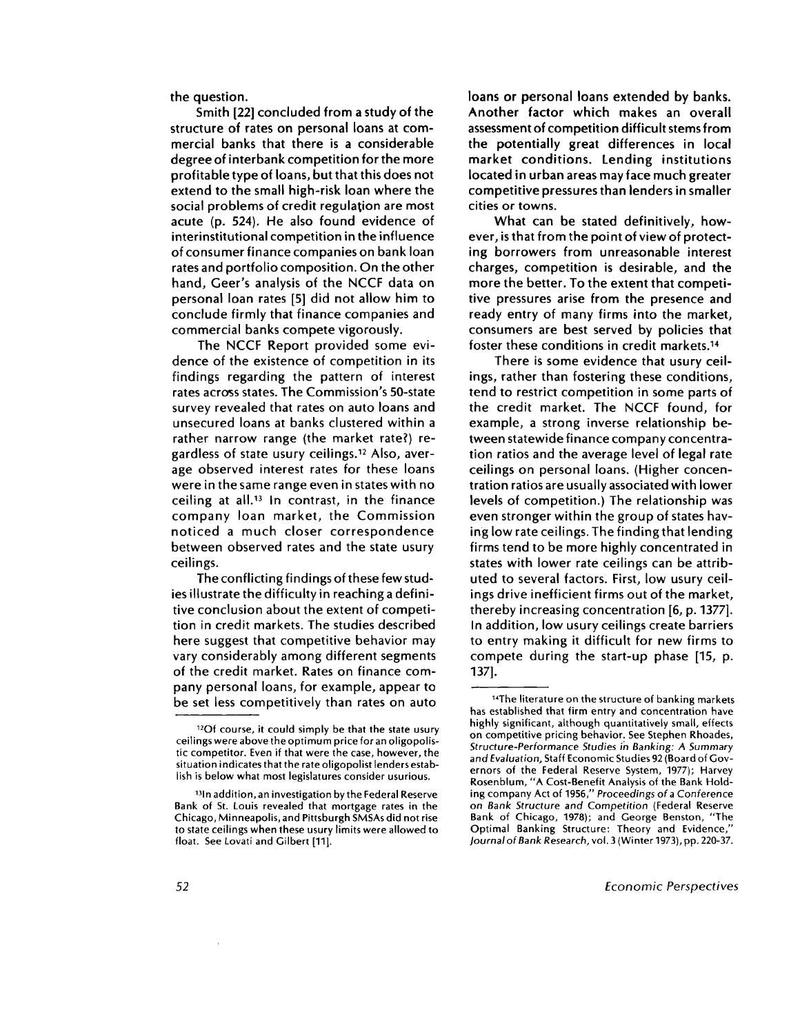**the question.**

**Smith [22] concluded from a study of the structure of rates on personal loans at commercial banks that there is a considerable degree of interbank competition for the more profitable type of loans, but that this does not extend to the small high-risk loan where the social problems of credit regulation are most acute (p. 524). He also found evidence of interinstitutional competition in the influence of consumer finance companies on bank loan rates and portfolio composition. On the other hand, Geer's analysis of the NCCF data on personal loan rates [5] did not allow him to conclude firmly that finance companies and commercial banks compete vigorously.**

**The NCCF Report provided some evidence of the existence of competition in its findings regarding the pattern of interest rates across states. The Commission's 50-state survey revealed that rates on auto loans and unsecured loans at banks clustered within a rather narrow range (the market rate?) regardless of state usury ceilings. <sup>12</sup> Also, average observed interest rates for these loans were in the same range even in states with no ceiling at all." In contrast, in the finance company loan market, the Commission noticed a much closer correspondence between observed rates and the state usury ceilings.**

**The conflicting findings of these few studies illustrate the difficulty in reaching a definitive conclusion about the extent of competition in credit markets. The studies described here suggest that competitive behavior may vary considerably among different segments of the credit market. Rates on finance company personal loans, for example, appear to be set less competitively than rates on auto** **loans or personal loans extended by banks. Another factor which makes an overall assessment of competition difficult stems from the potentially great differences in local market conditions. Lending institutions located in urban areas may face much greater competitive pressures than lenders in smaller cities or towns.**

**What can be stated definitively, however, is that from the point of view of protecting borrowers from unreasonable interest charges, competition is desirable, and the more the better. To the extent that competitive pressures arise from the presence and ready entry of many firms into the market, consumers are best served by policies that foster these conditions in credit markets. <sup>14</sup>**

**There is some evidence that usury ceilings, rather than fostering these conditions, tend to restrict competition in some parts of the credit market. The NCCF found, for example, a strong inverse relationship between statewide finance company concentration ratios and the average level of legal rate ceilings on personal loans. (Higher concentration ratios are usually associated with lower levels of competition.) The relationship was even stronger within the group of states having low rate ceilings. The finding that lending firms tend to be more highly concentrated in states with lower rate ceilings can be attributed to several factors. First, low usury ceilings drive inefficient firms out of the market, thereby increasing concentration [6, p. 1377]. In addition, low usury ceilings create barriers to entry making it difficult for new firms to compete during the start-up phase [15, p. 137].**

<sup>12</sup>0f course, it could simply be that the state usury ceilings were above the optimum price for an oligopolistic competitor. Even if that were the case, however, the situation indicates that the rate oligopolist lenders establish is below what most legislatures consider usurious.

<sup>&</sup>lt;sup>13</sup> In addition, an investigation by the Federal Reserve Bank of St. Louis revealed that mortgage rates in the Chicago, Minneapolis, and Pittsburgh SMSAs did not rise to state ceilings when these usury limits were allowed to float. See Lovati and Gilbert [11].

<sup>14</sup> The literature on the structure of banking markets has established that firm entry and concentration have highly significant, although quantitatively small, effects on competitive pricing behavior. See Stephen Rhoades, Structure-Performance *Studies in Banking: A Summary and* Evaluation, Staff Economic Studies 92 (Board of Governors of the Federal Reserve System, 1977); Harvey Rosenblum, "A Cost-Benefit Analysis of the Bank Holding company Act of 1956," *Proceedings* of a Conference on *Bank* Structure *and Competition* (Federal Reserve Bank of Chicago, 1978); and George Benston, "The Optimal Banking Structure: Theory and Evidence, *Journal of Bank Research,* vol. 3 (Winter 1973), pp. 220-37.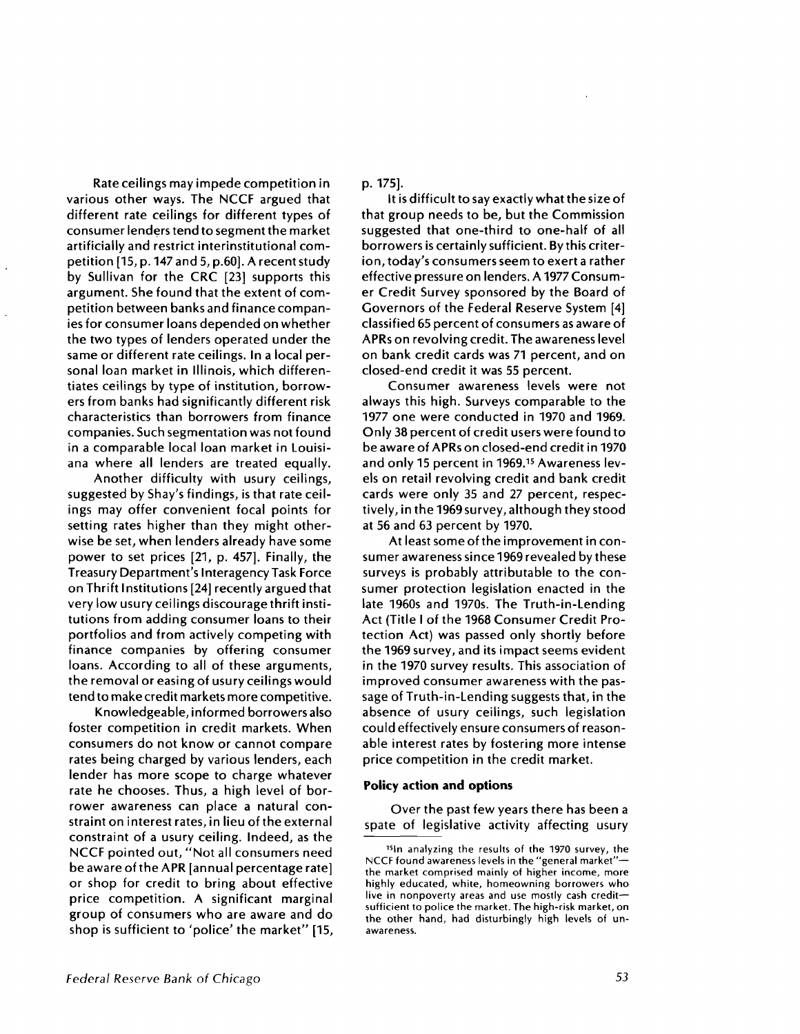Rate ceilings may impede competition in various other ways. The NCCF argued that different rate ceilings for different types of consumer lenders tend to segment the market artificially and restrict interinstitutional competition [15, p. 147 and 5, p.60]. A recent study by Sullivan for the CRC [23] supports this argument. She found that the extent of competition between banks and finance companies for consumer loans depended on whether the two types of lenders operated under the same or different rate ceilings. In a local personal loan market in Illinois, which differentiates ceilings by type of institution, borrowers from banks had significantly different risk characteristics than borrowers from finance companies. Such segmentation was not found in a comparable local loan market in Louisiana where all lenders are treated equally.

Another difficulty with usury ceilings, suggested by Shay's findings, is that rate ceilings may offer convenient focal points for setting rates higher than they might otherwise be set, when lenders already have some power to set prices [21, p. 457]. Finally, the Treasury Department's Interagency Task Force on Thrift Institutions [24] recently argued that very low usury ceilings discourage thrift institutions from adding consumer loans to their portfolios and from actively competing with finance companies by offering consumer loans. According to all of these arguments, the removal or easing of usury ceilings would tend to make credit markets more competitive.

Knowledgeable, informed borrowers also foster competition in credit markets. When consumers do not know or cannot compare rates being charged by various lenders, each lender has more scope to charge whatever rate he chooses. Thus, a high level of borrower awareness can place a natural constraint on interest rates, in lieu of the external constraint of a usury ceiling. Indeed, as the NCCF pointed out, "Not all consumers need be aware of the APR [annual percentage rate] or shop for credit to bring about effective price competition. A significant marginal group of consumers who are aware and do shop is sufficient to 'police' the market" [15,

#### p. 175].

It is difficult to say exactly what the size of that group needs to be, but the Commission suggested that one-third to one-half of all borrowers is certainly sufficient. By this criterion, today's consumers seem to exert a rather effective pressure on lenders. A 1977 Consumer Credit Survey sponsored by the Board of Governors of the Federal Reserve System [4] classified 65 percent of consumers as aware of APRs on revolving credit. The awareness level on bank credit cards was 71 percent, and on closed-end credit it was 55 percent.

Consumer awareness levels were not always this high. Surveys comparable to the 1977 one were conducted in 1970 and 1969. Only 38 percent of credit users were found to be aware of APRs on closed-end credit in 1970 and only 15 percent in 1969. <sup>15</sup> Awareness levels on retail revolving credit and bank credit cards were only 35 and 27 percent, respectively, in the 1969 survey, although they stood at 56 and 63 percent by 1970.

At least some of the improvement in consumer awareness since 1969 revealed by these surveys is probably attributable to the consumer protection legislation enacted in the late 1960s and 1970s. The Truth-in-Lending Act (Title **I** of the 1968 Consumer Credit Protection Act) was passed only shortly before the 1969 survey, and its impact seems evident in the 1970 survey results. This association of improved consumer awareness with the passage of Truth-in-Lending suggests that, in the absence of usury ceilings, such legislation could effectively ensure consumers of reasonable interest rates by fostering more intense price competition in the credit market.

#### **Policy action and options**

Over the past few years there has been a spate of legislative activity affecting usury

<sup>&</sup>lt;sup>15</sup>In analyzing the results of the 1970 survey, the NCCF found awareness levels in the "general market" the market comprised mainly of higher income, more highly educated, white, homeowning borrowers who live in nonpoverty areas and use mostly cash credit sufficient to police the market. The high-risk market, on the other hand, had disturbingly high levels of unawareness.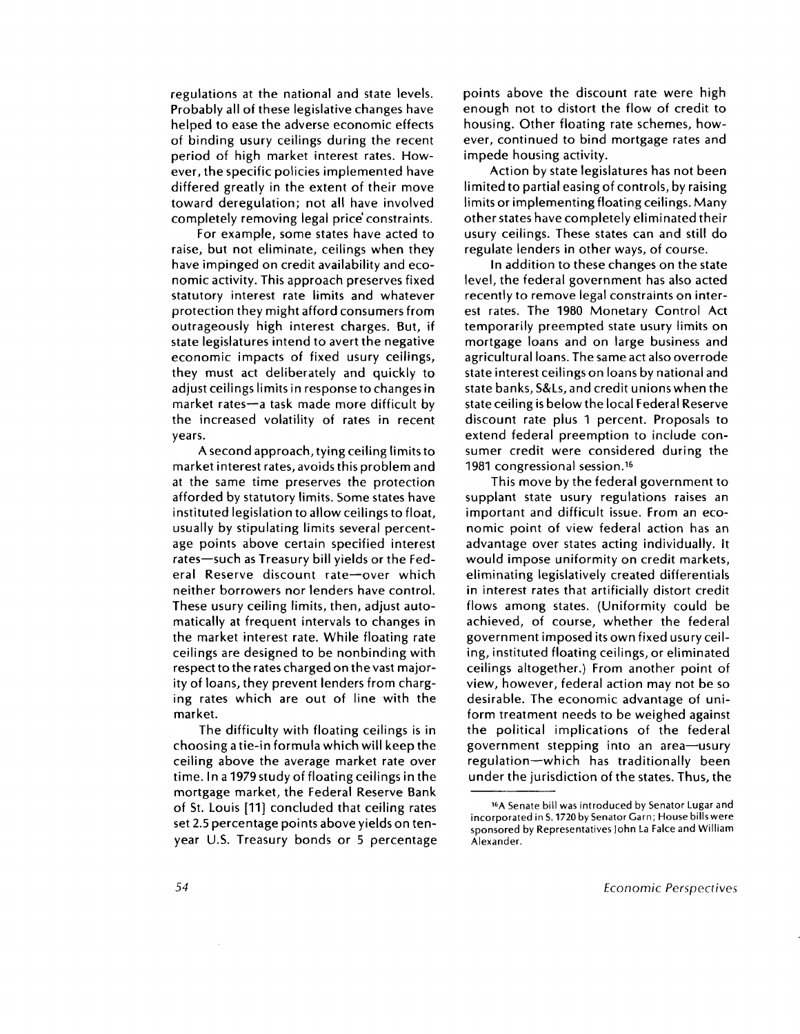regulations at the national and state levels. Probably all of these legislative changes have helped to ease the adverse economic effects of binding usury ceilings during the recent period of high market interest rates. However, the specific policies implemented have differed greatly in the extent of their move toward deregulation; not all have involved completely removing legal price constraints.

For example, some states have acted to raise, but not eliminate, ceilings when they have impinged on credit availability and economic activity. This approach preserves fixed statutory interest rate limits and whatever protection they might afford consumers from outrageously high interest charges. But, if state legislatures intend to avert the negative economic impacts of fixed usury ceilings, they must act deliberately and quickly to adjust ceilings limits in response to changes in market rates—a task made more difficult by the increased volatility of rates in recent years.

A second approach, tying ceiling limits to market interest rates, avoids this problem and at the same time preserves the protection afforded by statutory limits. Some states have instituted legislation to allow ceilings to float, usually by stipulating limits several percentage points above certain specified interest rates—such as Treasury bill yields or the Federal Reserve discount rate—over which neither borrowers nor lenders have control. These usury ceiling limits, then, adjust automatically at frequent intervals to changes in the market interest rate. While floating rate ceilings are designed to be nonbinding with respect to the rates charged on the vast majority of loans, they prevent lenders from charging rates which are out of line with the market.

The difficulty with floating ceilings is in choosing a tie-in formula which will keep the ceiling above the average market rate over time. In a 1979 study of floating ceilings in the mortgage market, the Federal Reserve Bank of St. Louis [11] concluded that ceiling rates set 2.5 percentage points above yields on tenyear U.S. Treasury bonds or 5 percentage points above the discount rate were high enough not to distort the flow of credit to housing. Other floating rate schemes, however, continued to bind mortgage rates and impede housing activity.

Action by state legislatures has not been limited to partial easing of controls, by raising limits or implementing floating ceilings. Many other states have completely eliminated their usury ceilings. These states can and still do regulate lenders in other ways, of course.

In addition to these changes on the state level, the federal government has also acted recently to remove legal constraints on interest rates. The 1980 Monetary Control Act temporarily preempted state usury limits on mortgage loans and on large business and agricultural loans. The same act also overrode state interest ceilings on loans by national and state banks, S&Ls, and credit unions when the state ceiling is below the local Federal Reserve discount rate plus 1 percent. Proposals to extend federal preemption to include consumer credit were considered during the 1981 congressional session. <sup>16</sup>

This move by the federal government to supplant state usury regulations raises an important and difficult issue. From an economic point of view federal action has an advantage over states acting individually. It would impose uniformity on credit markets, eliminating legislatively created differentials in interest rates that artificially distort credit flows among states. (Uniformity could be achieved, of course, whether the federal government imposed its own fixed usury ceiling, instituted floating ceilings, or eliminated ceilings altogether.) From another point of view, however, federal action may not be so desirable. The economic advantage of uniform treatment needs to be weighed against the political implications of the federal government stepping into an area—usury regulation—which has traditionally been under the jurisdiction of the states. Thus, the

<sup>1</sup>6 A Senate bill was introduced by Senator Lugar and incorporated in S. 1720 by Senator Garn; House bills were sponsored by Representatives John La Falce and William Alexander.